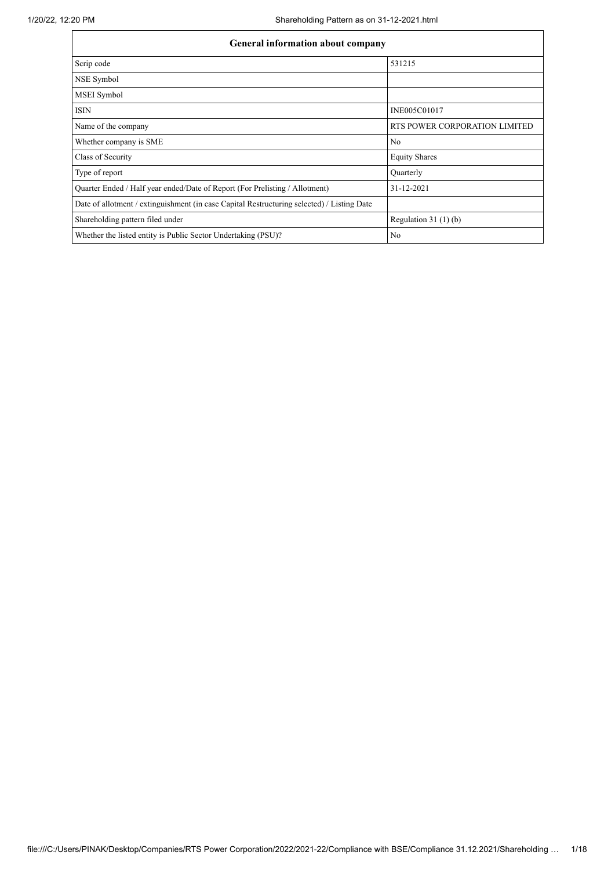| <b>General information about company</b>                                                   |                               |
|--------------------------------------------------------------------------------------------|-------------------------------|
| Scrip code                                                                                 | 531215                        |
| NSE Symbol                                                                                 |                               |
| MSEI Symbol                                                                                |                               |
| <b>ISIN</b>                                                                                | INE005C01017                  |
| Name of the company                                                                        | RTS POWER CORPORATION LIMITED |
| Whether company is SME                                                                     | N <sub>0</sub>                |
| Class of Security                                                                          | <b>Equity Shares</b>          |
| Type of report                                                                             | Quarterly                     |
| Quarter Ended / Half year ended/Date of Report (For Prelisting / Allotment)                | 31-12-2021                    |
| Date of allotment / extinguishment (in case Capital Restructuring selected) / Listing Date |                               |
| Shareholding pattern filed under                                                           | Regulation 31 $(1)(b)$        |
| Whether the listed entity is Public Sector Undertaking (PSU)?                              | N <sub>0</sub>                |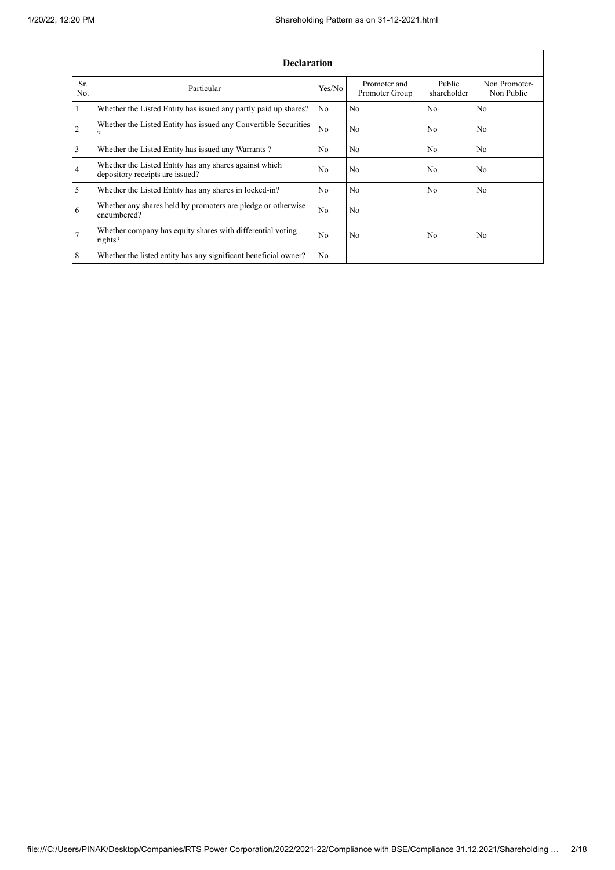$\overline{1}$ 

|                | <b>Declaration</b>                                                                        |                |                                |                       |                             |  |  |  |  |  |  |
|----------------|-------------------------------------------------------------------------------------------|----------------|--------------------------------|-----------------------|-----------------------------|--|--|--|--|--|--|
| Sr.<br>No.     | Particular                                                                                | Yes/No         | Promoter and<br>Promoter Group | Public<br>shareholder | Non Promoter-<br>Non Public |  |  |  |  |  |  |
| $\mathbf{1}$   | Whether the Listed Entity has issued any partly paid up shares?                           | N <sub>0</sub> | N <sub>0</sub>                 | N <sub>0</sub>        | N <sub>0</sub>              |  |  |  |  |  |  |
| $\overline{2}$ | Whether the Listed Entity has issued any Convertible Securities<br>9                      | N <sub>0</sub> | N <sub>0</sub>                 | N <sub>0</sub>        | N <sub>o</sub>              |  |  |  |  |  |  |
| $\overline{3}$ | Whether the Listed Entity has issued any Warrants?                                        | N <sub>o</sub> | N <sub>0</sub>                 | N <sub>o</sub>        | N <sub>o</sub>              |  |  |  |  |  |  |
| $\overline{4}$ | Whether the Listed Entity has any shares against which<br>depository receipts are issued? | N <sub>o</sub> | N <sub>0</sub>                 | N <sub>o</sub>        | No                          |  |  |  |  |  |  |
| 5              | Whether the Listed Entity has any shares in locked-in?                                    | N <sub>0</sub> | N <sub>0</sub>                 | N <sub>o</sub>        | N <sub>o</sub>              |  |  |  |  |  |  |
| 6              | Whether any shares held by promoters are pledge or otherwise<br>encumbered?               | N <sub>0</sub> | N <sub>0</sub>                 |                       |                             |  |  |  |  |  |  |
| $\overline{7}$ | Whether company has equity shares with differential voting<br>rights?                     | N <sub>o</sub> | N <sub>0</sub>                 | N <sub>o</sub>        | No.                         |  |  |  |  |  |  |
| 8              | Whether the listed entity has any significant beneficial owner?                           | No             |                                |                       |                             |  |  |  |  |  |  |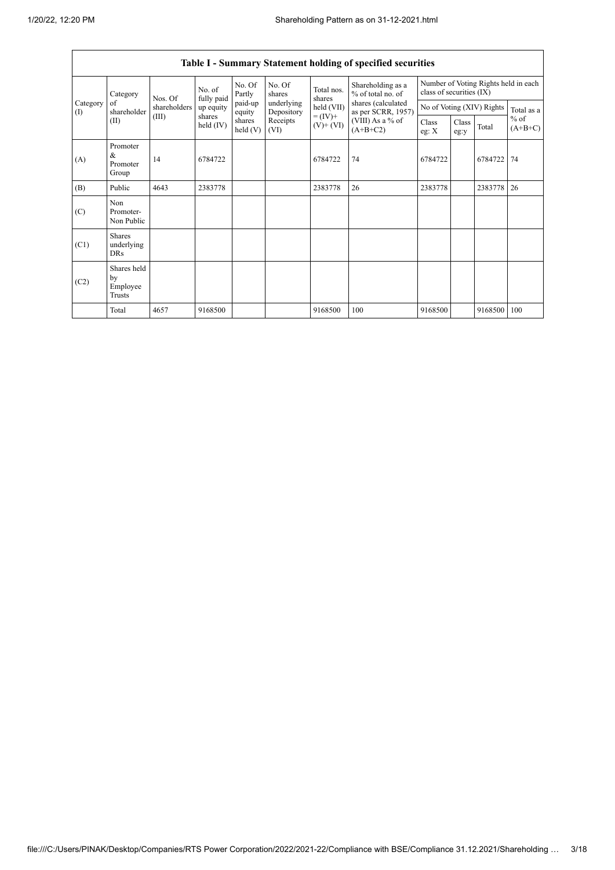$\overline{\Gamma}$ 

٦

|                               | Table I - Summary Statement holding of specified securities |              |                       |                      |                          |                                                                |                                          |                                                                  |               |                           |                     |  |
|-------------------------------|-------------------------------------------------------------|--------------|-----------------------|----------------------|--------------------------|----------------------------------------------------------------|------------------------------------------|------------------------------------------------------------------|---------------|---------------------------|---------------------|--|
|                               | Category                                                    | Nos. Of      | No. of<br>fully paid  | No. Of<br>Partly     | No. Of<br>shares         | Total nos.<br>shares<br>held (VII)<br>$= (IV) +$<br>$(V)+(VI)$ | Shareholding as a<br>% of total no. of   | Number of Voting Rights held in each<br>class of securities (IX) |               |                           |                     |  |
| Category<br>$\textcircled{1}$ | of<br>shareholder                                           | shareholders | up equity             | paid-up<br>equity    | underlying<br>Depository |                                                                | shares (calculated<br>as per SCRR, 1957) |                                                                  |               | No of Voting (XIV) Rights | Total as a          |  |
|                               | (II)                                                        | (III)        | shares<br>held $(IV)$ | shares<br>held $(V)$ | Receipts<br>(VI)         |                                                                | (VIII) As a % of<br>$(A+B+C2)$           | Class<br>eg: $X$                                                 | Class<br>eg:y | Total                     | $%$ of<br>$(A+B+C)$ |  |
| (A)                           | Promoter<br>&<br>Promoter<br>Group                          | 14           | 6784722               |                      |                          | 6784722                                                        | 74                                       | 6784722                                                          |               | 6784722                   | 74                  |  |
| (B)                           | Public                                                      | 4643         | 2383778               |                      |                          | 2383778                                                        | 26                                       | 2383778                                                          |               | 2383778                   | 26                  |  |
| (C)                           | Non<br>Promoter-<br>Non Public                              |              |                       |                      |                          |                                                                |                                          |                                                                  |               |                           |                     |  |
| (C1)                          | <b>Shares</b><br>underlying<br><b>DRs</b>                   |              |                       |                      |                          |                                                                |                                          |                                                                  |               |                           |                     |  |
| (C2)                          | Shares held<br>by<br>Employee<br>Trusts                     |              |                       |                      |                          |                                                                |                                          |                                                                  |               |                           |                     |  |
|                               | Total                                                       | 4657         | 9168500               |                      |                          | 9168500                                                        | 100                                      | 9168500                                                          |               | 9168500                   | 100                 |  |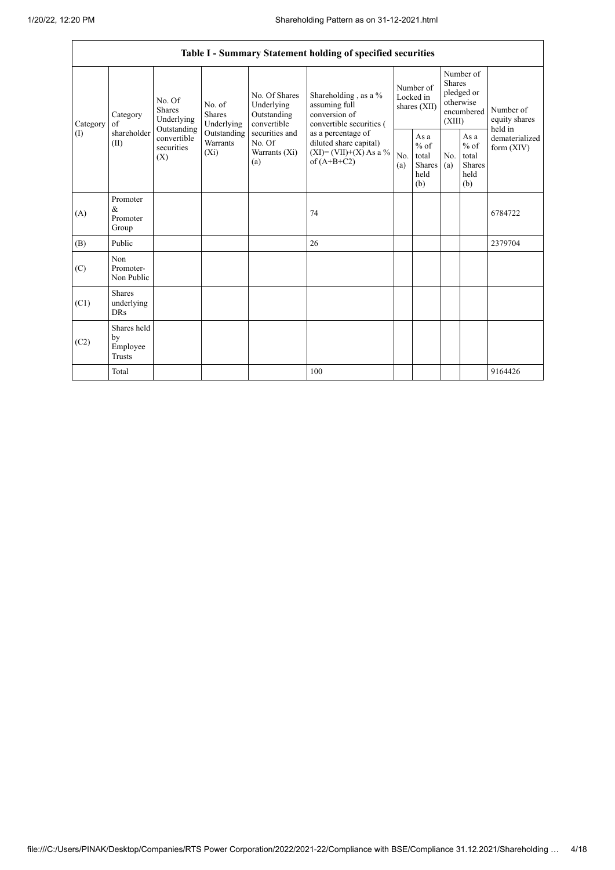|                 | Table I - Summary Statement holding of specified securities |                                                      |                                       |                                                                                                               |                                                                                                                                                                                  |                                        |                                                  |                                                                               |                                                         |                                       |  |
|-----------------|-------------------------------------------------------------|------------------------------------------------------|---------------------------------------|---------------------------------------------------------------------------------------------------------------|----------------------------------------------------------------------------------------------------------------------------------------------------------------------------------|----------------------------------------|--------------------------------------------------|-------------------------------------------------------------------------------|---------------------------------------------------------|---------------------------------------|--|
| Category<br>(1) | Category<br>of<br>shareholder<br>(II)                       | No. Of<br><b>Shares</b><br>Underlying<br>Outstanding | No. of<br><b>Shares</b><br>Underlying | No. Of Shares<br>Underlying<br>Outstanding<br>convertible<br>securities and<br>No. Of<br>Warrants (Xi)<br>(a) | Shareholding, as a %<br>assuming full<br>conversion of<br>convertible securities (<br>as a percentage of<br>diluted share capital)<br>$(XI) = (VII)+(X) As a %$<br>of $(A+B+C2)$ | Number of<br>Locked in<br>shares (XII) |                                                  | Number of<br><b>Shares</b><br>pledged or<br>otherwise<br>encumbered<br>(XIII) |                                                         | Number of<br>equity shares<br>held in |  |
|                 |                                                             | convertible<br>securities<br>$(X_i)$<br>(X)          | Outstanding<br>Warrants               |                                                                                                               |                                                                                                                                                                                  | No.<br>(a)                             | As a<br>$%$ of<br>total<br>Shares<br>held<br>(b) | No.<br>(a)                                                                    | As a<br>$%$ of<br>total<br><b>Shares</b><br>held<br>(b) | dematerialized<br>form $(XIV)$        |  |
| (A)             | Promoter<br>$\&$<br>Promoter<br>Group                       |                                                      |                                       |                                                                                                               | 74                                                                                                                                                                               |                                        |                                                  |                                                                               |                                                         | 6784722                               |  |
| (B)             | Public                                                      |                                                      |                                       |                                                                                                               | 26                                                                                                                                                                               |                                        |                                                  |                                                                               |                                                         | 2379704                               |  |
| (C)             | Non<br>Promoter-<br>Non Public                              |                                                      |                                       |                                                                                                               |                                                                                                                                                                                  |                                        |                                                  |                                                                               |                                                         |                                       |  |
| (C1)            | <b>Shares</b><br>underlying<br><b>DRs</b>                   |                                                      |                                       |                                                                                                               |                                                                                                                                                                                  |                                        |                                                  |                                                                               |                                                         |                                       |  |
| (C2)            | Shares held<br>by<br>Employee<br><b>Trusts</b>              |                                                      |                                       |                                                                                                               |                                                                                                                                                                                  |                                        |                                                  |                                                                               |                                                         |                                       |  |
|                 | Total                                                       |                                                      |                                       |                                                                                                               | 100                                                                                                                                                                              |                                        |                                                  |                                                                               |                                                         | 9164426                               |  |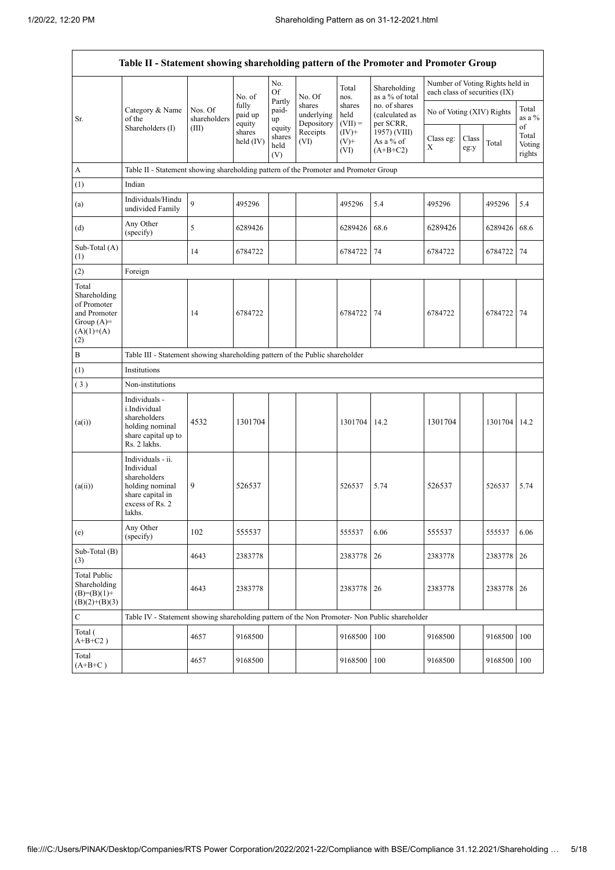$\mathbf{r}$ 

 $\overline{\mathbf{1}}$ 

|                                                                                             | Table II - Statement showing shareholding pattern of the Promoter and Promoter Group                                |                         |                            |                                 |                                    |                             |                                              |                               |               |                                 |                           |
|---------------------------------------------------------------------------------------------|---------------------------------------------------------------------------------------------------------------------|-------------------------|----------------------------|---------------------------------|------------------------------------|-----------------------------|----------------------------------------------|-------------------------------|---------------|---------------------------------|---------------------------|
|                                                                                             |                                                                                                                     |                         | No. of                     | No.<br><b>Of</b>                | No. Of                             | Total<br>nos.               | Shareholding<br>as a % of total              | each class of securities (IX) |               | Number of Voting Rights held in |                           |
| Sr.                                                                                         | Category & Name<br>of the                                                                                           | Nos. Of<br>shareholders | fully<br>paid up<br>equity | Partly<br>paid-<br>up           | shares<br>underlying<br>Depository | shares<br>held<br>$(VII) =$ | no. of shares<br>(calculated as<br>per SCRR, | No of Voting (XIV) Rights     |               |                                 | Total<br>as a %<br>of     |
|                                                                                             | Shareholders (I)                                                                                                    | (III)                   | shares<br>held (IV)        | equity<br>shares<br>held<br>(V) | Receipts<br>(VI)                   | $(IV)+$<br>$(V)$ +<br>(VI)  | 1957) (VIII)<br>As a % of<br>$(A+B+C2)$      | Class eg:<br>X                | Class<br>eg:y | Total                           | Total<br>Voting<br>rights |
| $\boldsymbol{\rm{A}}$                                                                       | Table II - Statement showing shareholding pattern of the Promoter and Promoter Group                                |                         |                            |                                 |                                    |                             |                                              |                               |               |                                 |                           |
| (1)                                                                                         | Indian                                                                                                              |                         |                            |                                 |                                    |                             |                                              |                               |               |                                 |                           |
| (a)                                                                                         | Individuals/Hindu<br>undivided Family                                                                               | 9                       | 495296                     |                                 |                                    | 495296                      | 5.4                                          | 495296                        |               | 495296                          | 5.4                       |
| (d)                                                                                         | Any Other<br>(specify)                                                                                              | 5                       | 6289426                    |                                 |                                    | 6289426                     | 68.6                                         | 6289426                       |               | 6289426                         | 68.6                      |
| Sub-Total (A)<br>(1)                                                                        |                                                                                                                     | 14                      | 6784722                    |                                 |                                    | 6784722                     | 74                                           | 6784722                       |               | 6784722                         | 74                        |
| (2)                                                                                         | Foreign                                                                                                             |                         |                            |                                 |                                    |                             |                                              |                               |               |                                 |                           |
| Total<br>Shareholding<br>of Promoter<br>and Promoter<br>Group $(A)=$<br>$(A)(1)+(A)$<br>(2) |                                                                                                                     | 14                      | 6784722                    |                                 |                                    | 6784722                     | 74                                           | 6784722                       |               | 6784722                         | 74                        |
| $\, {\bf B}$                                                                                | Table III - Statement showing shareholding pattern of the Public shareholder                                        |                         |                            |                                 |                                    |                             |                                              |                               |               |                                 |                           |
| (1)                                                                                         | Institutions                                                                                                        |                         |                            |                                 |                                    |                             |                                              |                               |               |                                 |                           |
| (3)                                                                                         | Non-institutions                                                                                                    |                         |                            |                                 |                                    |                             |                                              |                               |               |                                 |                           |
| (a(i))                                                                                      | Individuals -<br>i.Individual<br>shareholders<br>holding nominal<br>share capital up to<br>Rs. 2 lakhs.             | 4532                    | 1301704                    |                                 |                                    | 1301704                     | 14.2                                         | 1301704                       |               | 1301704 14.2                    |                           |
| (a(ii))                                                                                     | Individuals - ii.<br>Individual<br>shareholders<br>holding nominal<br>share capital in<br>excess of Rs. 2<br>lakhs. | 9                       | 526537                     |                                 |                                    | 526537                      | 5.74                                         | 526537                        |               | 526537                          | 5.74                      |
| (e)                                                                                         | Any Other<br>(specify)                                                                                              | 102                     | 555537                     |                                 |                                    | 555537                      | 6.06                                         | 555537                        |               | 555537                          | 6.06                      |
| Sub-Total (B)<br>(3)                                                                        |                                                                                                                     | 4643                    | 2383778                    |                                 |                                    | 2383778                     | 26                                           | 2383778                       |               | 2383778                         | 26                        |
| <b>Total Public</b><br>Shareholding<br>$(B)=(B)(1)+$<br>$(B)(2)+(B)(3)$                     |                                                                                                                     | 4643                    | 2383778                    |                                 |                                    | 2383778                     | 26                                           | 2383778                       |               | 2383778                         | 26                        |
| $\mathbf C$                                                                                 | Table IV - Statement showing shareholding pattern of the Non Promoter- Non Public shareholder                       |                         |                            |                                 |                                    |                             |                                              |                               |               |                                 |                           |
| Total (<br>$A+B+C2$ )                                                                       |                                                                                                                     | 4657                    | 9168500                    |                                 |                                    | 9168500                     | 100                                          | 9168500                       |               | 9168500 100                     |                           |
| Total<br>$(A+B+C)$                                                                          |                                                                                                                     | 4657                    | 9168500                    |                                 |                                    | 9168500                     | 100                                          | 9168500                       |               | 9168500 100                     |                           |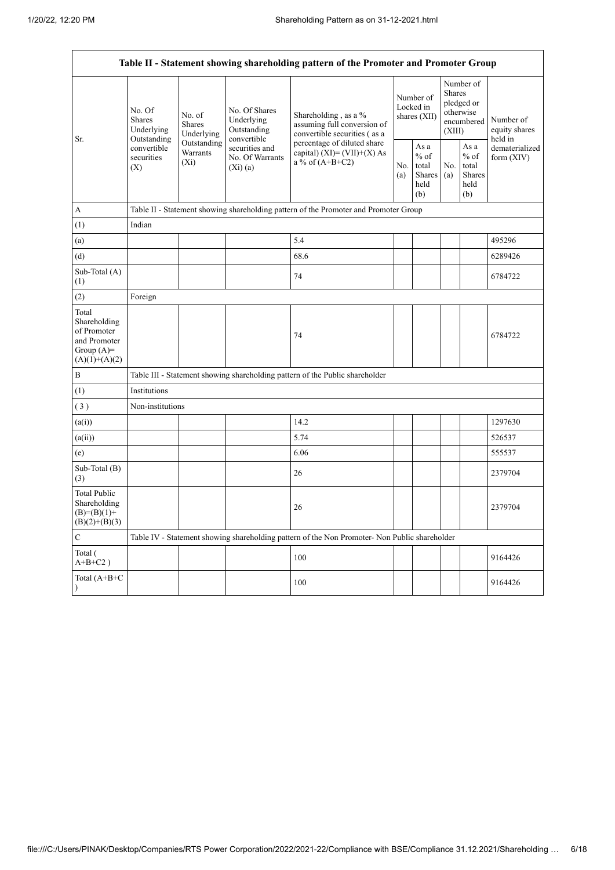$\mathbf{r}$ 

 $\overline{\mathbf{1}}$ 

|                                                                                         | Table II - Statement showing shareholding pattern of the Promoter and Promoter Group  |                                       |                                                           |                                                                                               |  |                                                  |            |                                                                               |                                       |  |  |
|-----------------------------------------------------------------------------------------|---------------------------------------------------------------------------------------|---------------------------------------|-----------------------------------------------------------|-----------------------------------------------------------------------------------------------|--|--------------------------------------------------|------------|-------------------------------------------------------------------------------|---------------------------------------|--|--|
|                                                                                         | No. Of<br><b>Shares</b><br>Underlying                                                 | No. of<br><b>Shares</b><br>Underlying | No. Of Shares<br>Underlying<br>Outstanding<br>convertible | Shareholding, as a %<br>assuming full conversion of<br>convertible securities (as a           |  | Number of<br>Locked in<br>shares (XII)           |            | Number of<br><b>Shares</b><br>pledged or<br>otherwise<br>encumbered<br>(XIII) | Number of<br>equity shares<br>held in |  |  |
| Sr.                                                                                     | Outstanding<br>Outstanding<br>convertible<br>Warrants<br>securities<br>$(X_i)$<br>(X) |                                       | securities and<br>No. Of Warrants<br>(Xi)(a)              | percentage of diluted share<br>capital) $(XI) = (VII)+(X) As$<br>a % of $(A+B+C2)$            |  | As a<br>$%$ of<br>total<br>Shares<br>held<br>(b) | No.<br>(a) | As a<br>$%$ of<br>total<br><b>Shares</b><br>held<br>(b)                       | dematerialized<br>form $(XIV)$        |  |  |
| $\boldsymbol{A}$                                                                        |                                                                                       |                                       |                                                           | Table II - Statement showing shareholding pattern of the Promoter and Promoter Group          |  |                                                  |            |                                                                               |                                       |  |  |
| (1)                                                                                     | Indian                                                                                |                                       |                                                           |                                                                                               |  |                                                  |            |                                                                               |                                       |  |  |
| (a)                                                                                     |                                                                                       |                                       |                                                           | 5.4                                                                                           |  |                                                  |            |                                                                               | 495296                                |  |  |
| (d)                                                                                     |                                                                                       |                                       |                                                           | 68.6                                                                                          |  |                                                  |            |                                                                               | 6289426                               |  |  |
| Sub-Total (A)<br>(1)                                                                    |                                                                                       |                                       |                                                           | 74                                                                                            |  |                                                  |            |                                                                               | 6784722                               |  |  |
| (2)                                                                                     | Foreign                                                                               |                                       |                                                           |                                                                                               |  |                                                  |            |                                                                               |                                       |  |  |
| Total<br>Shareholding<br>of Promoter<br>and Promoter<br>Group $(A)=$<br>$(A)(1)+(A)(2)$ |                                                                                       |                                       |                                                           | 74                                                                                            |  |                                                  |            |                                                                               | 6784722                               |  |  |
| $\, {\bf B}$                                                                            |                                                                                       |                                       |                                                           | Table III - Statement showing shareholding pattern of the Public shareholder                  |  |                                                  |            |                                                                               |                                       |  |  |
| (1)                                                                                     | Institutions                                                                          |                                       |                                                           |                                                                                               |  |                                                  |            |                                                                               |                                       |  |  |
| (3)                                                                                     | Non-institutions                                                                      |                                       |                                                           |                                                                                               |  |                                                  |            |                                                                               |                                       |  |  |
| (a(i))                                                                                  |                                                                                       |                                       |                                                           | 14.2                                                                                          |  |                                                  |            |                                                                               | 1297630                               |  |  |
| (a(ii))                                                                                 |                                                                                       |                                       |                                                           | 5.74                                                                                          |  |                                                  |            |                                                                               | 526537                                |  |  |
| (e)                                                                                     |                                                                                       |                                       |                                                           | 6.06                                                                                          |  |                                                  |            |                                                                               | 555537                                |  |  |
| Sub-Total (B)<br>(3)                                                                    |                                                                                       |                                       |                                                           | 26                                                                                            |  |                                                  |            |                                                                               | 2379704                               |  |  |
| <b>Total Public</b><br>Shareholding<br>$(B)= (B)(1) +$<br>$(B)(2)+(B)(3)$               |                                                                                       |                                       |                                                           | 26                                                                                            |  |                                                  |            |                                                                               | 2379704                               |  |  |
| $\mathbf C$                                                                             |                                                                                       |                                       |                                                           | Table IV - Statement showing shareholding pattern of the Non Promoter- Non Public shareholder |  |                                                  |            |                                                                               |                                       |  |  |
| Total (<br>$A+B+C2$ )                                                                   |                                                                                       |                                       |                                                           | 100                                                                                           |  |                                                  |            |                                                                               | 9164426                               |  |  |
| Total (A+B+C                                                                            |                                                                                       |                                       |                                                           | 100                                                                                           |  |                                                  |            |                                                                               | 9164426                               |  |  |
|                                                                                         |                                                                                       |                                       |                                                           |                                                                                               |  |                                                  |            |                                                                               |                                       |  |  |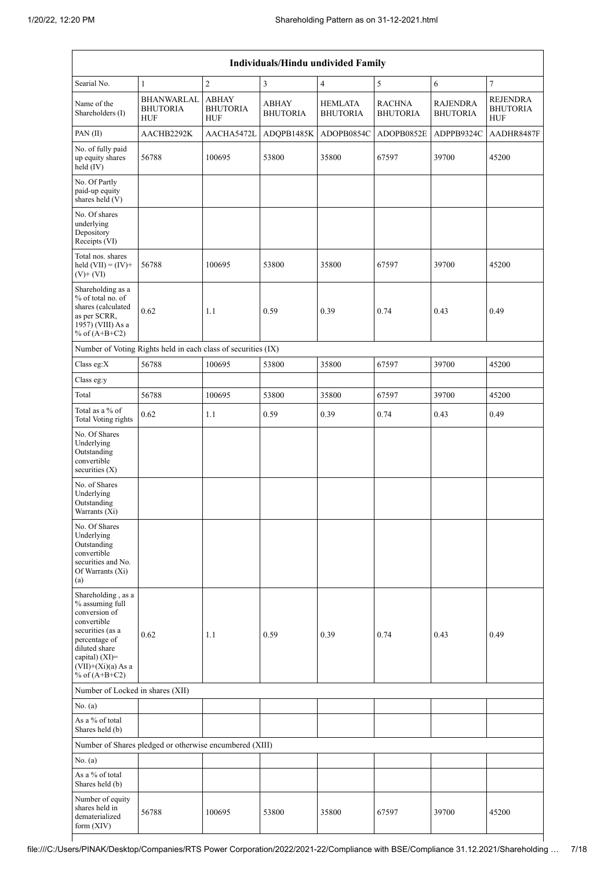| Individuals/Hindu undivided Family                                                                                                                                                          |                                                               |                                               |                                 |                                   |                                  |                                    |                                                  |  |  |  |
|---------------------------------------------------------------------------------------------------------------------------------------------------------------------------------------------|---------------------------------------------------------------|-----------------------------------------------|---------------------------------|-----------------------------------|----------------------------------|------------------------------------|--------------------------------------------------|--|--|--|
| Searial No.                                                                                                                                                                                 | $\mathbf{1}$                                                  | $\overline{2}$                                | $\mathfrak{Z}$                  | $\overline{4}$                    | 5                                | 6                                  | $\boldsymbol{7}$                                 |  |  |  |
| Name of the<br>Shareholders (I)                                                                                                                                                             | BHANWARLAL<br><b>BHUTORIA</b><br><b>HUF</b>                   | <b>ABHAY</b><br><b>BHUTORIA</b><br><b>HUF</b> | <b>ABHAY</b><br><b>BHUTORIA</b> | <b>HEMLATA</b><br><b>BHUTORIA</b> | <b>RACHNA</b><br><b>BHUTORIA</b> | <b>RAJENDRA</b><br><b>BHUTORIA</b> | <b>REJENDRA</b><br><b>BHUTORIA</b><br><b>HUF</b> |  |  |  |
| PAN(II)                                                                                                                                                                                     | AACHB2292K                                                    | AACHA5472L                                    | ADQPB1485K                      | ADOPB0854C                        | ADOPB0852E                       | ADPPB9324C                         | AADHR8487F                                       |  |  |  |
| No. of fully paid<br>up equity shares<br>held (IV)                                                                                                                                          | 56788                                                         | 100695                                        | 53800                           | 35800                             | 67597                            | 39700                              | 45200                                            |  |  |  |
| No. Of Partly<br>paid-up equity<br>shares held (V)                                                                                                                                          |                                                               |                                               |                                 |                                   |                                  |                                    |                                                  |  |  |  |
| No. Of shares<br>underlying<br>Depository<br>Receipts (VI)                                                                                                                                  |                                                               |                                               |                                 |                                   |                                  |                                    |                                                  |  |  |  |
| Total nos. shares<br>held $(VII) = (IV) +$<br>$(V)$ + $(VI)$                                                                                                                                | 56788                                                         | 100695                                        | 53800                           | 35800                             | 67597                            | 39700                              | 45200                                            |  |  |  |
| Shareholding as a<br>% of total no. of<br>shares (calculated<br>as per SCRR,<br>1957) (VIII) As a<br>% of $(A+B+C2)$                                                                        | 0.62                                                          | 1.1                                           | 0.59                            | 0.39                              | 0.74                             | 0.43                               | 0.49                                             |  |  |  |
|                                                                                                                                                                                             | Number of Voting Rights held in each class of securities (IX) |                                               |                                 |                                   |                                  |                                    |                                                  |  |  |  |
| Class eg:X                                                                                                                                                                                  | 56788                                                         | 100695                                        | 53800                           | 35800                             | 67597                            | 39700                              | 45200                                            |  |  |  |
| Class eg:y                                                                                                                                                                                  |                                                               |                                               |                                 |                                   |                                  |                                    |                                                  |  |  |  |
| Total                                                                                                                                                                                       | 56788                                                         | 100695                                        | 53800                           | 35800                             | 67597                            | 39700                              | 45200                                            |  |  |  |
| Total as a % of<br>Total Voting rights                                                                                                                                                      | 0.62                                                          | 1.1                                           | 0.59                            | 0.39                              | 0.74                             | 0.43                               | 0.49                                             |  |  |  |
| No. Of Shares<br>Underlying<br>Outstanding<br>convertible<br>securities $(X)$                                                                                                               |                                                               |                                               |                                 |                                   |                                  |                                    |                                                  |  |  |  |
| No. of Shares<br>Underlying<br>Outstanding<br>Warrants (Xi)                                                                                                                                 |                                                               |                                               |                                 |                                   |                                  |                                    |                                                  |  |  |  |
| No. Of Shares<br>Underlying<br>Outstanding<br>convertible<br>securities and No.<br>Of Warrants (Xi)<br>(a)                                                                                  |                                                               |                                               |                                 |                                   |                                  |                                    |                                                  |  |  |  |
| Shareholding, as a<br>% assuming full<br>conversion of<br>convertible<br>securities (as a<br>percentage of<br>diluted share<br>capital) $(XI)$ =<br>$(VII)+(Xi)(a)$ As a<br>% of $(A+B+C2)$ | 0.62                                                          | 1.1                                           | 0.59                            | 0.39                              | 0.74                             | 0.43                               | 0.49                                             |  |  |  |
| Number of Locked in shares (XII)                                                                                                                                                            |                                                               |                                               |                                 |                                   |                                  |                                    |                                                  |  |  |  |
| No. (a)                                                                                                                                                                                     |                                                               |                                               |                                 |                                   |                                  |                                    |                                                  |  |  |  |
| As a % of total<br>Shares held (b)                                                                                                                                                          |                                                               |                                               |                                 |                                   |                                  |                                    |                                                  |  |  |  |
|                                                                                                                                                                                             | Number of Shares pledged or otherwise encumbered (XIII)       |                                               |                                 |                                   |                                  |                                    |                                                  |  |  |  |
| No. (a)                                                                                                                                                                                     |                                                               |                                               |                                 |                                   |                                  |                                    |                                                  |  |  |  |
| As a % of total<br>Shares held (b)                                                                                                                                                          |                                                               |                                               |                                 |                                   |                                  |                                    |                                                  |  |  |  |
| Number of equity<br>shares held in<br>dematerialized<br>form (XIV)                                                                                                                          | 56788                                                         | 100695                                        | 53800                           | 35800                             | 67597                            | 39700                              | 45200                                            |  |  |  |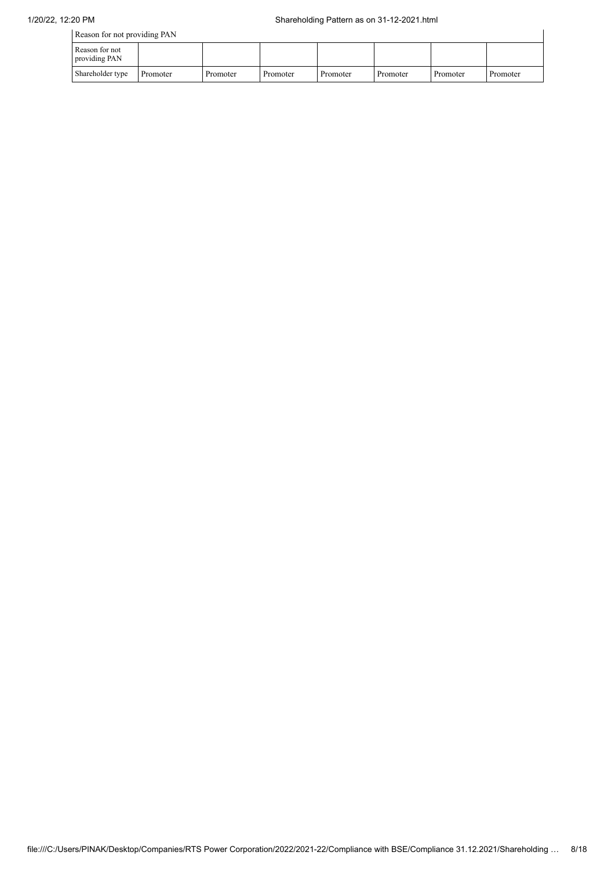| Reason for not providing PAN    |          |          |          |          |          |          |          |
|---------------------------------|----------|----------|----------|----------|----------|----------|----------|
| Reason for not<br>providing PAN |          |          |          |          |          |          |          |
| Shareholder type                | Promoter | Promoter | Promoter | Promoter | Promoter | Promoter | Promoter |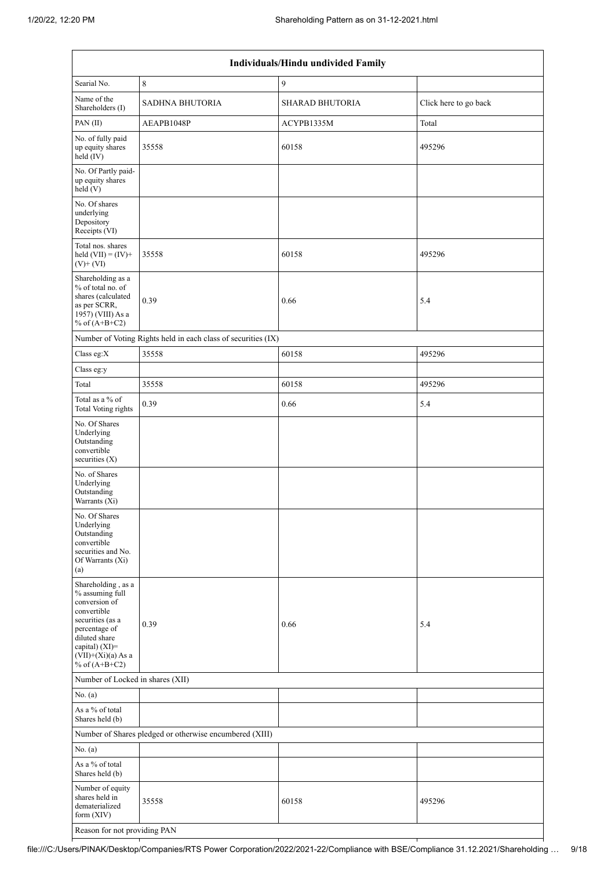|                                                                                                                                                                                             |                                                               | Individuals/Hindu undivided Family |                       |
|---------------------------------------------------------------------------------------------------------------------------------------------------------------------------------------------|---------------------------------------------------------------|------------------------------------|-----------------------|
| Searial No.                                                                                                                                                                                 | $\,8\,$                                                       | $\boldsymbol{9}$                   |                       |
| Name of the<br>Shareholders (I)                                                                                                                                                             | <b>SADHNA BHUTORIA</b>                                        | <b>SHARAD BHUTORIA</b>             | Click here to go back |
| PAN(II)                                                                                                                                                                                     | AEAPB1048P                                                    | ACYPB1335M                         | Total                 |
| No. of fully paid<br>up equity shares<br>held (IV)                                                                                                                                          | 35558                                                         | 60158                              | 495296                |
| No. Of Partly paid-<br>up equity shares<br>held(V)                                                                                                                                          |                                                               |                                    |                       |
| No. Of shares<br>underlying<br>Depository<br>Receipts (VI)                                                                                                                                  |                                                               |                                    |                       |
| Total nos. shares<br>held $(VII) = (IV) +$<br>$(V)$ + $(VI)$                                                                                                                                | 35558                                                         | 60158                              | 495296                |
| Shareholding as a<br>% of total no. of<br>shares (calculated<br>as per SCRR,<br>1957) (VIII) As a<br>% of $(A+B+C2)$                                                                        | 0.39                                                          | 0.66                               | 5.4                   |
|                                                                                                                                                                                             | Number of Voting Rights held in each class of securities (IX) |                                    |                       |
| Class eg:X                                                                                                                                                                                  | 35558                                                         | 60158                              | 495296                |
| Class eg:y                                                                                                                                                                                  |                                                               |                                    |                       |
| Total                                                                                                                                                                                       | 35558                                                         | 60158                              | 495296                |
| Total as a % of<br><b>Total Voting rights</b>                                                                                                                                               | 0.39                                                          | 0.66                               | 5.4                   |
| No. Of Shares<br>Underlying<br>Outstanding<br>convertible<br>securities $(X)$                                                                                                               |                                                               |                                    |                       |
| No. of Shares<br>Underlying<br>Outstanding<br>Warrants (Xi)                                                                                                                                 |                                                               |                                    |                       |
| No. Of Shares<br>Underlying<br>Outstanding<br>convertible<br>securities and No.<br>Of Warrants (Xi)<br>(a)                                                                                  |                                                               |                                    |                       |
| Shareholding, as a<br>% assuming full<br>conversion of<br>convertible<br>securities (as a<br>percentage of<br>diluted share<br>capital) $(XI)$ =<br>$(VII)+(Xi)(a)$ As a<br>% of $(A+B+C2)$ | 0.39                                                          | 0.66                               | 5.4                   |
| Number of Locked in shares (XII)                                                                                                                                                            |                                                               |                                    |                       |
| No. (a)                                                                                                                                                                                     |                                                               |                                    |                       |
| As a % of total<br>Shares held (b)                                                                                                                                                          |                                                               |                                    |                       |
|                                                                                                                                                                                             | Number of Shares pledged or otherwise encumbered (XIII)       |                                    |                       |
| No. (a)                                                                                                                                                                                     |                                                               |                                    |                       |
| As a % of total<br>Shares held (b)                                                                                                                                                          |                                                               |                                    |                       |
| Number of equity<br>shares held in<br>dematerialized<br>form (XIV)                                                                                                                          | 35558                                                         | 60158                              | 495296                |
| Reason for not providing PAN                                                                                                                                                                |                                                               |                                    |                       |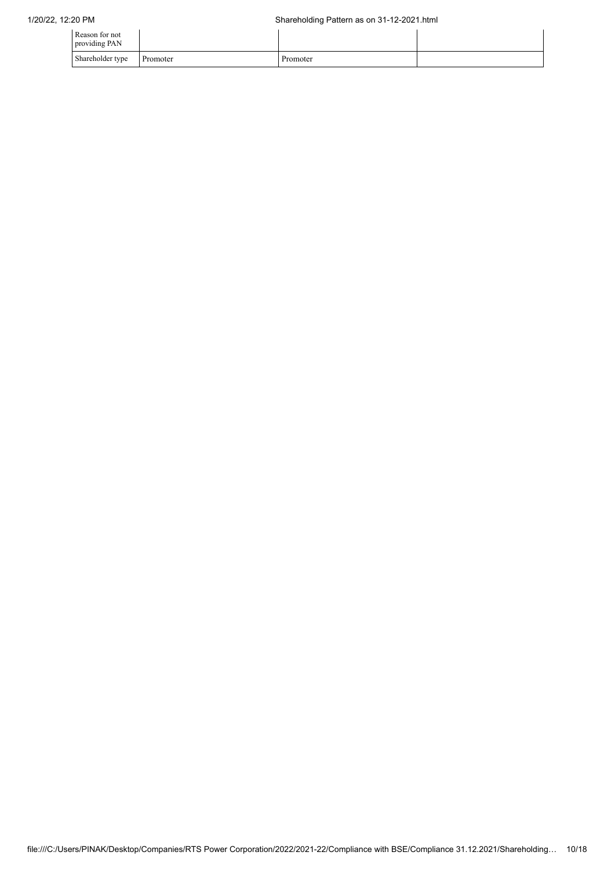| Reason for not<br>providing PAN |          |          |  |
|---------------------------------|----------|----------|--|
| Shareholder type                | Promoter | Promoter |  |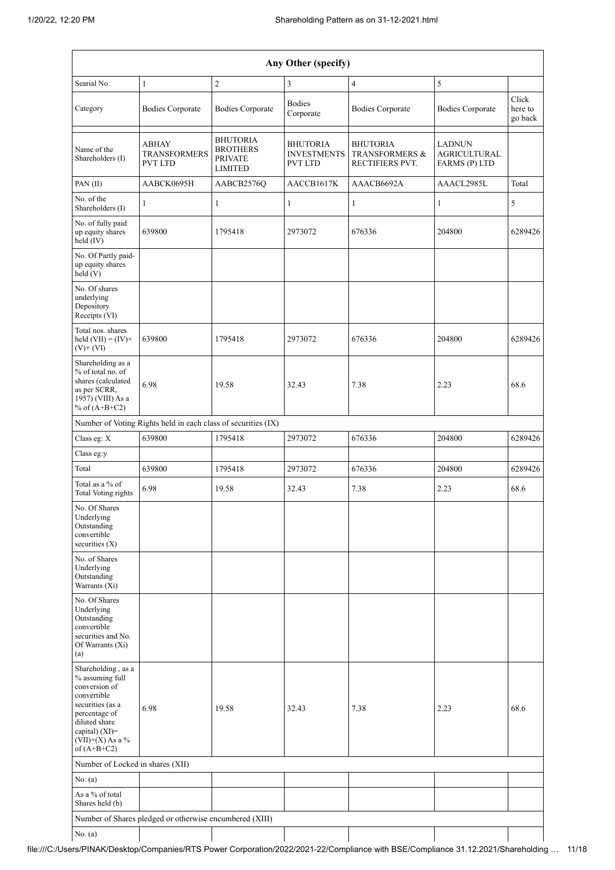|                                                                                                                                                                                         |                                                               |                                                                        | Any Other (specify)                                     |                                                                 |                                                       |                             |
|-----------------------------------------------------------------------------------------------------------------------------------------------------------------------------------------|---------------------------------------------------------------|------------------------------------------------------------------------|---------------------------------------------------------|-----------------------------------------------------------------|-------------------------------------------------------|-----------------------------|
| Searial No.                                                                                                                                                                             | $\mathbf{1}$                                                  | $\overline{2}$                                                         | 3                                                       | 4                                                               | 5                                                     |                             |
| Category                                                                                                                                                                                | <b>Bodies Corporate</b>                                       | <b>Bodies Corporate</b>                                                | <b>Bodies</b><br>Corporate                              | <b>Bodies Corporate</b>                                         | <b>Bodies Corporate</b>                               | Click<br>here to<br>go back |
| Name of the<br>Shareholders (I)                                                                                                                                                         | <b>ABHAY</b><br><b>TRANSFORMERS</b><br><b>PVT LTD</b>         | <b>BHUTORIA</b><br><b>BROTHERS</b><br><b>PRIVATE</b><br><b>LIMITED</b> | <b>BHUTORIA</b><br><b>INVESTMENTS</b><br><b>PVT LTD</b> | <b>BHUTORIA</b><br><b>TRANSFORMERS &amp;</b><br>RECTIFIERS PVT. | <b>LADNUN</b><br><b>AGRICULTURAL</b><br>FARMS (P) LTD |                             |
| PAN(II)                                                                                                                                                                                 | AABCK0695H                                                    | AABCB2576Q                                                             | AACCB1617K                                              | AAACB6692A                                                      | AAACL2985L                                            | Total                       |
| No. of the<br>Shareholders (I)                                                                                                                                                          | $\mathbf{1}$                                                  | $\mathbf{1}$                                                           | 1                                                       | $\mathbf{1}$                                                    | 1                                                     | 5                           |
| No. of fully paid<br>up equity shares<br>$held$ (IV)                                                                                                                                    | 639800                                                        | 1795418                                                                | 2973072                                                 | 676336                                                          | 204800                                                | 6289426                     |
| No. Of Partly paid-<br>up equity shares<br>held(V)                                                                                                                                      |                                                               |                                                                        |                                                         |                                                                 |                                                       |                             |
| No. Of shares<br>underlying<br>Depository<br>Receipts (VI)                                                                                                                              |                                                               |                                                                        |                                                         |                                                                 |                                                       |                             |
| Total nos. shares<br>held $(VII) = (IV) +$<br>$(V)+(VI)$                                                                                                                                | 639800                                                        | 1795418                                                                | 2973072                                                 | 676336                                                          | 204800                                                | 6289426                     |
| Shareholding as a<br>% of total no. of<br>shares (calculated<br>as per SCRR,<br>1957) (VIII) As a<br>% of $(A+B+C2)$                                                                    | 6.98                                                          | 19.58                                                                  | 32.43                                                   | 7.38                                                            | 2.23                                                  | 68.6                        |
|                                                                                                                                                                                         | Number of Voting Rights held in each class of securities (IX) |                                                                        |                                                         |                                                                 |                                                       |                             |
| Class eg: X                                                                                                                                                                             | 639800                                                        | 1795418                                                                | 2973072                                                 | 676336                                                          | 204800                                                | 6289426                     |
| Class eg:y                                                                                                                                                                              |                                                               |                                                                        |                                                         |                                                                 |                                                       |                             |
| Total                                                                                                                                                                                   | 639800                                                        | 1795418                                                                | 2973072                                                 | 676336                                                          | 204800                                                | 6289426                     |
| Total as a % of<br><b>Total Voting rights</b>                                                                                                                                           | 6.98                                                          | 19.58                                                                  | 32.43                                                   | 7.38                                                            | 2.23                                                  | 68.6                        |
| No. Of Shares<br>Underlying<br>Outstanding<br>convertible<br>securities $(X)$                                                                                                           |                                                               |                                                                        |                                                         |                                                                 |                                                       |                             |
| No. of Shares<br>Underlying<br>Outstanding<br>Warrants (Xi)                                                                                                                             |                                                               |                                                                        |                                                         |                                                                 |                                                       |                             |
| No. Of Shares<br>Underlying<br>Outstanding<br>convertible<br>securities and No.<br>Of Warrants (Xi)<br>(a)                                                                              |                                                               |                                                                        |                                                         |                                                                 |                                                       |                             |
| Shareholding, as a<br>% assuming full<br>conversion of<br>convertible<br>securities (as a<br>percentage of<br>diluted share<br>capital) $(XI)$ =<br>$(VII)+(X)$ As a %<br>of $(A+B+C2)$ | 6.98                                                          | 19.58                                                                  | 32.43                                                   | 7.38                                                            | 2.23                                                  | 68.6                        |
| Number of Locked in shares (XII)                                                                                                                                                        |                                                               |                                                                        |                                                         |                                                                 |                                                       |                             |
| No. (a)                                                                                                                                                                                 |                                                               |                                                                        |                                                         |                                                                 |                                                       |                             |
| As a % of total<br>Shares held (b)                                                                                                                                                      |                                                               |                                                                        |                                                         |                                                                 |                                                       |                             |
|                                                                                                                                                                                         | Number of Shares pledged or otherwise encumbered (XIII)       |                                                                        |                                                         |                                                                 |                                                       |                             |
| No. $(a)$                                                                                                                                                                               |                                                               |                                                                        |                                                         |                                                                 |                                                       |                             |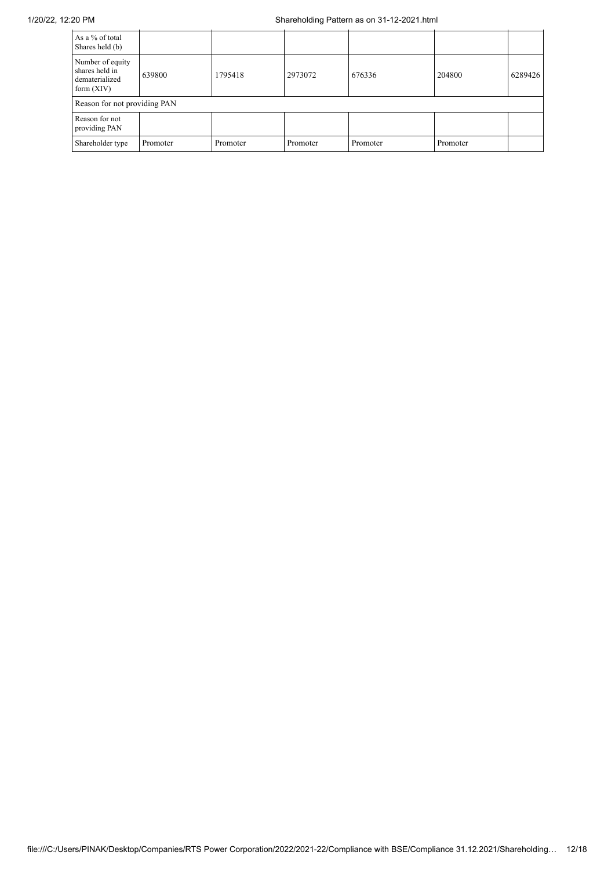| As a % of total<br>Shares held (b)                                   |          |          |          |          |          |         |
|----------------------------------------------------------------------|----------|----------|----------|----------|----------|---------|
| Number of equity<br>shares held in<br>dematerialized<br>form $(XIV)$ | 639800   | 1795418  | 2973072  | 676336   | 204800   | 6289426 |
| Reason for not providing PAN                                         |          |          |          |          |          |         |
| Reason for not<br>providing PAN                                      |          |          |          |          |          |         |
| Shareholder type                                                     | Promoter | Promoter | Promoter | Promoter | Promoter |         |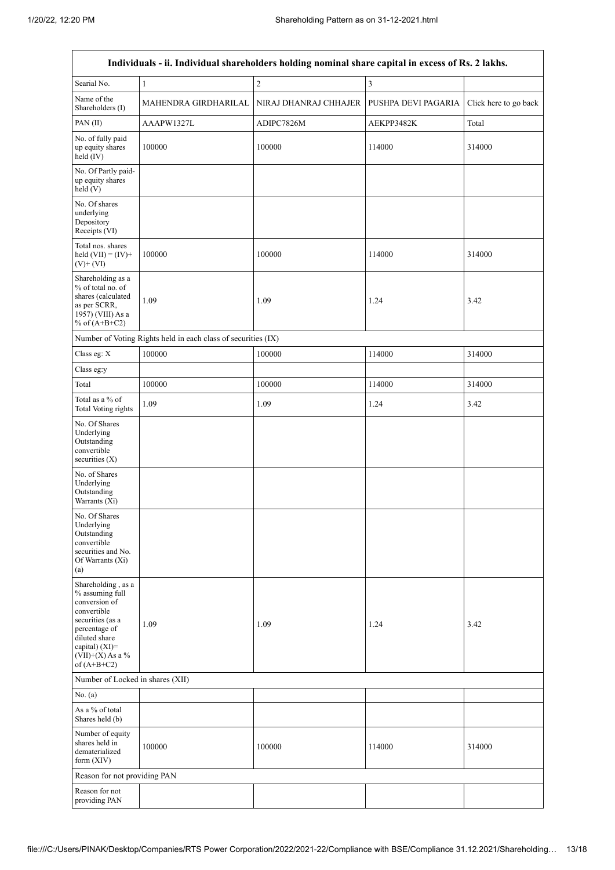$\mathsf{r}$ 

 $\overline{\phantom{a}}$ 

| Individuals - ii. Individual shareholders holding nominal share capital in excess of Rs. 2 lakhs.                                                                                       |                                                               |                       |                     |                       |  |  |
|-----------------------------------------------------------------------------------------------------------------------------------------------------------------------------------------|---------------------------------------------------------------|-----------------------|---------------------|-----------------------|--|--|
| Searial No.                                                                                                                                                                             | $\mathbf{1}$                                                  | $\overline{c}$        | 3                   |                       |  |  |
| Name of the<br>Shareholders (I)                                                                                                                                                         | MAHENDRA GIRDHARILAL                                          | NIRAJ DHANRAJ CHHAJER | PUSHPA DEVI PAGARIA | Click here to go back |  |  |
| PAN(II)                                                                                                                                                                                 | AAAPW1327L                                                    | ADIPC7826M            | AEKPP3482K          | Total                 |  |  |
| No. of fully paid<br>up equity shares<br>held (IV)                                                                                                                                      | 100000                                                        | 100000                | 114000              | 314000                |  |  |
| No. Of Partly paid-<br>up equity shares<br>held (V)                                                                                                                                     |                                                               |                       |                     |                       |  |  |
| No. Of shares<br>underlying<br>Depository<br>Receipts (VI)                                                                                                                              |                                                               |                       |                     |                       |  |  |
| Total nos. shares<br>held $(VII) = (IV) +$<br>$(V)$ + $(VI)$                                                                                                                            | 100000                                                        | 100000                | 114000              | 314000                |  |  |
| Shareholding as a<br>% of total no. of<br>shares (calculated<br>as per SCRR,<br>1957) (VIII) As a<br>% of $(A+B+C2)$                                                                    | 1.09                                                          | 1.09                  | 1.24                | 3.42                  |  |  |
|                                                                                                                                                                                         | Number of Voting Rights held in each class of securities (IX) |                       |                     |                       |  |  |
| Class eg: X                                                                                                                                                                             | 100000                                                        | 100000                | 114000              | 314000                |  |  |
| Class eg:y                                                                                                                                                                              |                                                               |                       |                     |                       |  |  |
| Total                                                                                                                                                                                   | 100000                                                        | 100000                | 114000              | 314000                |  |  |
| Total as a % of<br>Total Voting rights                                                                                                                                                  | 1.09                                                          | 1.09                  | 1.24                | 3.42                  |  |  |
| No. Of Shares<br>Underlying<br>Outstanding<br>convertible<br>securities $(X)$                                                                                                           |                                                               |                       |                     |                       |  |  |
| No. of Shares<br>Underlying<br>Outstanding<br>Warrants (Xi)                                                                                                                             |                                                               |                       |                     |                       |  |  |
| No. Of Shares<br>Underlying<br>Outstanding<br>convertible<br>securities and No.<br>Of Warrants (Xi)<br>(a)                                                                              |                                                               |                       |                     |                       |  |  |
| Shareholding, as a<br>% assuming full<br>conversion of<br>convertible<br>securities (as a<br>percentage of<br>diluted share<br>capital) $(XI)$ =<br>$(VII)+(X)$ As a %<br>of $(A+B+C2)$ | 1.09                                                          | 1.09                  | 1.24                | 3.42                  |  |  |
| Number of Locked in shares (XII)                                                                                                                                                        |                                                               |                       |                     |                       |  |  |
| No. (a)                                                                                                                                                                                 |                                                               |                       |                     |                       |  |  |
| As a % of total<br>Shares held (b)                                                                                                                                                      |                                                               |                       |                     |                       |  |  |
| Number of equity<br>shares held in<br>dematerialized<br>form $(XIV)$                                                                                                                    | 100000                                                        | 100000                | 114000              | 314000                |  |  |
| Reason for not providing PAN                                                                                                                                                            |                                                               |                       |                     |                       |  |  |
| Reason for not<br>providing PAN                                                                                                                                                         |                                                               |                       |                     |                       |  |  |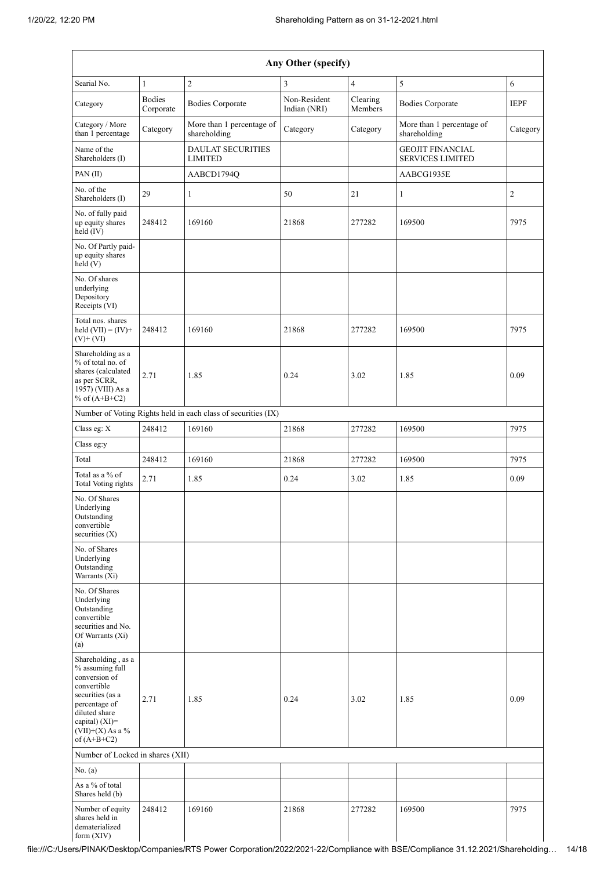| Any Other (specify)                                                                                                                                                                  |                            |                                                               |                              |                     |                                                    |                |
|--------------------------------------------------------------------------------------------------------------------------------------------------------------------------------------|----------------------------|---------------------------------------------------------------|------------------------------|---------------------|----------------------------------------------------|----------------|
| Searial No.                                                                                                                                                                          | $\mathbf{1}$               | $\overline{c}$                                                | 3                            | 4                   | 5                                                  | 6              |
| Category                                                                                                                                                                             | <b>Bodies</b><br>Corporate | <b>Bodies Corporate</b>                                       | Non-Resident<br>Indian (NRI) | Clearing<br>Members | <b>Bodies Corporate</b>                            | <b>IEPF</b>    |
| Category / More<br>than 1 percentage                                                                                                                                                 | Category                   | More than 1 percentage of<br>shareholding                     | Category                     | Category            | More than 1 percentage of<br>shareholding          | Category       |
| Name of the<br>Shareholders (I)                                                                                                                                                      |                            | <b>DAULAT SECURITIES</b><br><b>LIMITED</b>                    |                              |                     | <b>GEOJIT FINANCIAL</b><br><b>SERVICES LIMITED</b> |                |
| PAN (II)                                                                                                                                                                             |                            | AABCD1794Q                                                    |                              |                     | AABCG1935E                                         |                |
| No. of the<br>Shareholders (I)                                                                                                                                                       | 29                         | $\mathbf{1}$                                                  | 50                           | 21                  | 1                                                  | $\overline{2}$ |
| No. of fully paid<br>up equity shares<br>held (IV)                                                                                                                                   | 248412                     | 169160                                                        | 21868                        | 277282              | 169500                                             | 7975           |
| No. Of Partly paid-<br>up equity shares<br>held(V)                                                                                                                                   |                            |                                                               |                              |                     |                                                    |                |
| No. Of shares<br>underlying<br>Depository<br>Receipts (VI)                                                                                                                           |                            |                                                               |                              |                     |                                                    |                |
| Total nos. shares<br>held $(VII) = (IV) +$<br>$(V)$ + $(VI)$                                                                                                                         | 248412                     | 169160                                                        | 21868                        | 277282              | 169500                                             | 7975           |
| Shareholding as a<br>% of total no. of<br>shares (calculated<br>as per SCRR,<br>1957) (VIII) As a<br>% of $(A+B+C2)$                                                                 | 2.71                       | 1.85                                                          | 0.24                         | 3.02                | 1.85                                               | 0.09           |
|                                                                                                                                                                                      |                            | Number of Voting Rights held in each class of securities (IX) |                              |                     |                                                    |                |
| Class eg: X                                                                                                                                                                          | 248412                     | 169160                                                        | 21868                        | 277282              | 169500                                             | 7975           |
| Class eg:y                                                                                                                                                                           |                            |                                                               |                              |                     |                                                    |                |
| Total                                                                                                                                                                                | 248412                     | 169160                                                        | 21868                        | 277282              | 169500                                             | 7975           |
| Total as a % of<br><b>Total Voting rights</b>                                                                                                                                        | 2.71                       | 1.85                                                          | 0.24                         | 3.02                | 1.85                                               | 0.09           |
| No. Of Shares<br>Underlying<br>Outstanding<br>convertible<br>securities $(X)$                                                                                                        |                            |                                                               |                              |                     |                                                    |                |
| No. of Shares<br>Underlying<br>Outstanding<br>Warrants (Xi)                                                                                                                          |                            |                                                               |                              |                     |                                                    |                |
| No. Of Shares<br>Underlying<br>Outstanding<br>convertible<br>securities and No.<br>Of Warrants (Xi)<br>(a)                                                                           |                            |                                                               |                              |                     |                                                    |                |
| Shareholding, as a<br>% assuming full<br>conversion of<br>convertible<br>securities (as a<br>percentage of<br>diluted share<br>capital) (XI)=<br>$(VII)+(X)$ As a %<br>of $(A+B+C2)$ | 2.71                       | 1.85                                                          | 0.24                         | 3.02                | 1.85                                               | 0.09           |
| Number of Locked in shares (XII)                                                                                                                                                     |                            |                                                               |                              |                     |                                                    |                |
| No. (a)                                                                                                                                                                              |                            |                                                               |                              |                     |                                                    |                |
| As a % of total<br>Shares held (b)                                                                                                                                                   |                            |                                                               |                              |                     |                                                    |                |
| Number of equity<br>shares held in<br>dematerialized<br>form (XIV)                                                                                                                   | 248412                     | 169160                                                        | 21868                        | 277282              | 169500                                             | 7975           |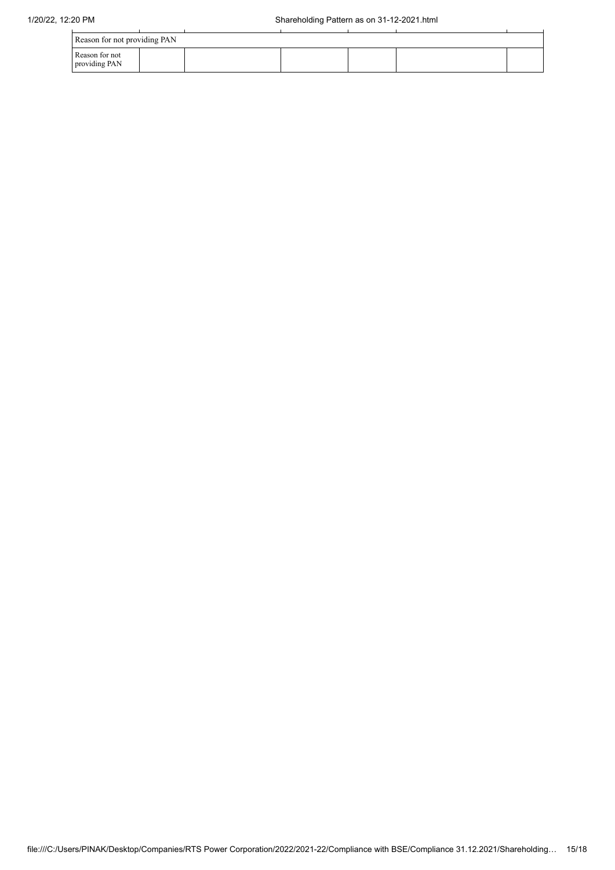| Reason for not providing PAN    |  |  |  |  |  |  |
|---------------------------------|--|--|--|--|--|--|
| Reason for not<br>providing PAN |  |  |  |  |  |  |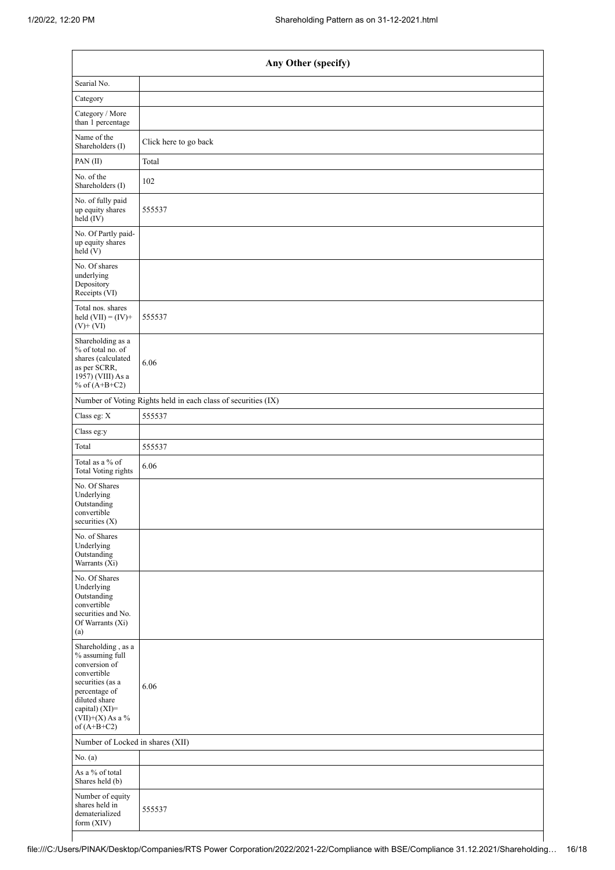| Any Other (specify)                                                                                                                                                                  |                                                               |  |  |  |  |
|--------------------------------------------------------------------------------------------------------------------------------------------------------------------------------------|---------------------------------------------------------------|--|--|--|--|
| Searial No.                                                                                                                                                                          |                                                               |  |  |  |  |
| Category                                                                                                                                                                             |                                                               |  |  |  |  |
| Category / More<br>than 1 percentage                                                                                                                                                 |                                                               |  |  |  |  |
| Name of the<br>Shareholders (I)                                                                                                                                                      | Click here to go back                                         |  |  |  |  |
| PAN(II)                                                                                                                                                                              | Total                                                         |  |  |  |  |
| No. of the<br>Shareholders (I)                                                                                                                                                       | 102                                                           |  |  |  |  |
| No. of fully paid<br>up equity shares<br>held (IV)                                                                                                                                   | 555537                                                        |  |  |  |  |
| No. Of Partly paid-<br>up equity shares<br>held $(V)$                                                                                                                                |                                                               |  |  |  |  |
| No. Of shares<br>underlying<br>Depository<br>Receipts (VI)                                                                                                                           |                                                               |  |  |  |  |
| Total nos. shares<br>held $(VII) = (IV) +$<br>$(V)+(VI)$                                                                                                                             | 555537                                                        |  |  |  |  |
| Shareholding as a<br>% of total no. of<br>shares (calculated<br>as per SCRR,<br>1957) (VIII) As a<br>% of $(A+B+C2)$                                                                 | 6.06                                                          |  |  |  |  |
|                                                                                                                                                                                      | Number of Voting Rights held in each class of securities (IX) |  |  |  |  |
| Class eg: X                                                                                                                                                                          | 555537                                                        |  |  |  |  |
| Class eg:y                                                                                                                                                                           |                                                               |  |  |  |  |
| Total                                                                                                                                                                                | 555537                                                        |  |  |  |  |
| Total as a % of<br><b>Total Voting rights</b>                                                                                                                                        | 6.06                                                          |  |  |  |  |
| No. Of Shares<br>Underlying<br>Outstanding<br>convertible<br>securities (X)                                                                                                          |                                                               |  |  |  |  |
| No. of Shares<br>Underlying<br>Outstanding<br>Warrants (Xi)                                                                                                                          |                                                               |  |  |  |  |
| No. Of Shares<br>Underlying<br>Outstanding<br>convertible<br>securities and No.<br>Of Warrants (Xi)<br>(a)                                                                           |                                                               |  |  |  |  |
| Shareholding, as a<br>% assuming full<br>conversion of<br>convertible<br>securities (as a<br>percentage of<br>diluted share<br>capital) (XI)=<br>$(VII)+(X)$ As a %<br>of $(A+B+C2)$ | 6.06                                                          |  |  |  |  |
| Number of Locked in shares (XII)                                                                                                                                                     |                                                               |  |  |  |  |
| No. $(a)$                                                                                                                                                                            |                                                               |  |  |  |  |
| As a % of total<br>Shares held (b)                                                                                                                                                   |                                                               |  |  |  |  |
| Number of equity<br>shares held in<br>dematerialized<br>form (XIV)                                                                                                                   | 555537                                                        |  |  |  |  |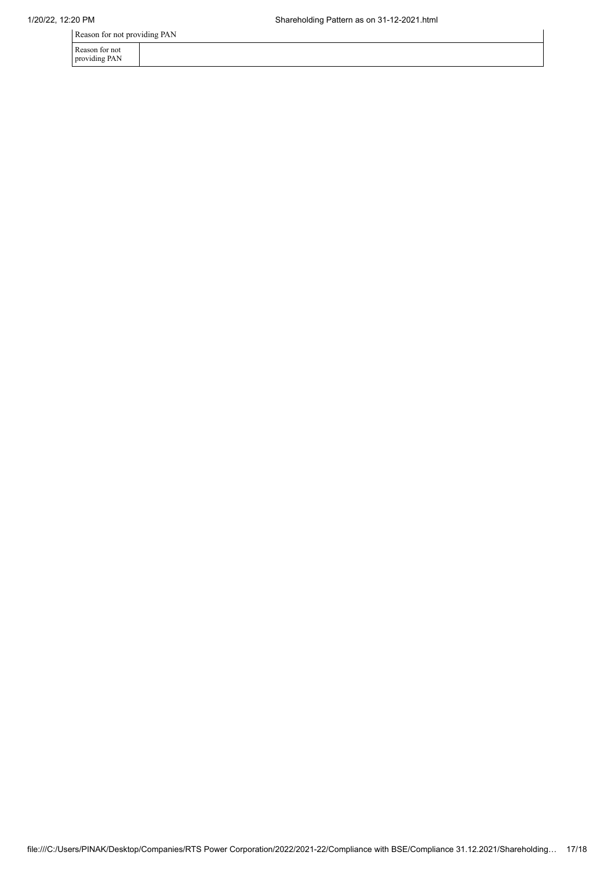Reason for not providing PAN

| Reason for not |  |
|----------------|--|
| providing PAN  |  |